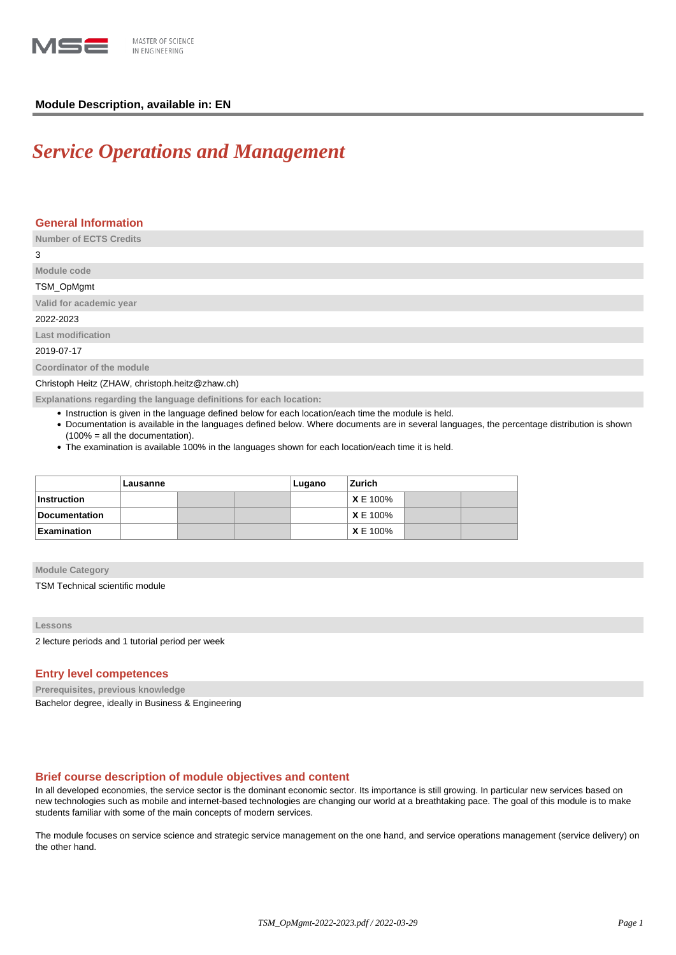

## **Module Description, available in: EN**

# *Service Operations and Management*

## **General Information**

**Number of ECTS Credits** 3 **Module code** TSM\_OpMgmt **Valid for academic year** 2022-2023 **Last modification** 2019-07-17 **Coordinator of the module** Christoph Heitz (ZHAW, christoph.heitz@zhaw.ch)

**Explanations regarding the language definitions for each location:**

- Instruction is given in the language defined below for each location/each time the module is held.
- Documentation is available in the languages defined below. Where documents are in several languages, the percentage distribution is shown (100% = all the documentation).
- The examination is available 100% in the languages shown for each location/each time it is held.

|                    | Lausanne |  |  | Lugano | Zurich          |  |  |
|--------------------|----------|--|--|--------|-----------------|--|--|
| <b>Instruction</b> |          |  |  |        | <b>XE 100%</b>  |  |  |
| Documentation      |          |  |  |        | <b>XE 100%</b>  |  |  |
| <b>Examination</b> |          |  |  |        | <b>X</b> E 100% |  |  |

#### **Module Category**

TSM Technical scientific module

#### **Lessons**

2 lecture periods and 1 tutorial period per week

### **Entry level competences**

**Prerequisites, previous knowledge**

Bachelor degree, ideally in Business & Engineering

## **Brief course description of module objectives and content**

In all developed economies, the service sector is the dominant economic sector. Its importance is still growing. In particular new services based on new technologies such as mobile and internet-based technologies are changing our world at a breathtaking pace. The goal of this module is to make students familiar with some of the main concepts of modern services.

The module focuses on service science and strategic service management on the one hand, and service operations management (service delivery) on the other hand.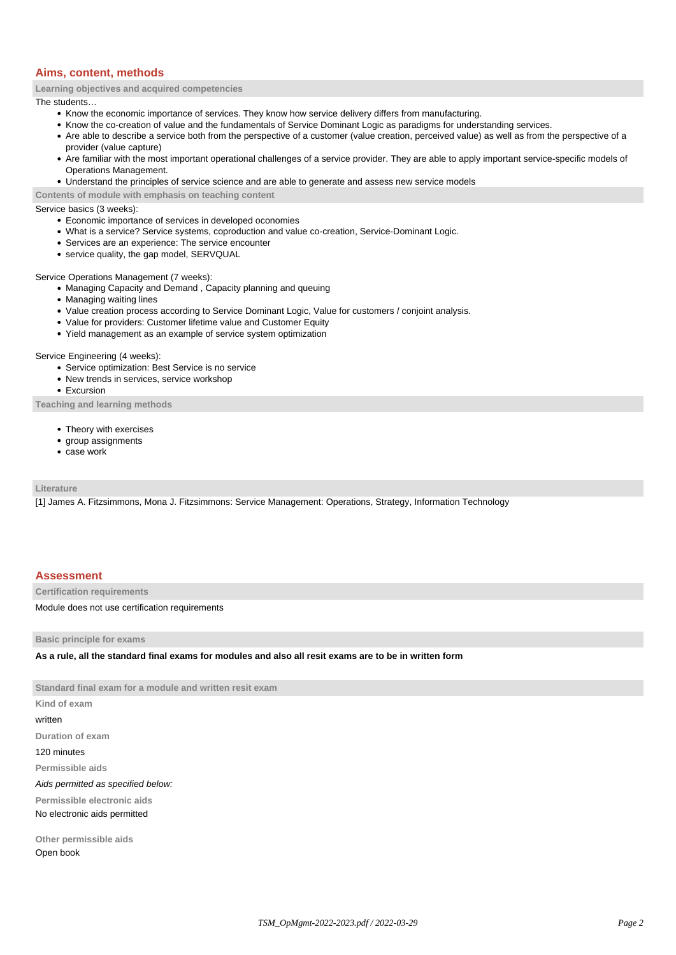## **Aims, content, methods**

**Learning objectives and acquired competencies**

The students…

- Know the economic importance of services. They know how service delivery differs from manufacturing.
- Know the co-creation of value and the fundamentals of Service Dominant Logic as paradigms for understanding services.
- Are able to describe a service both from the perspective of a customer (value creation, perceived value) as well as from the perspective of a provider (value capture)
- Are familiar with the most important operational challenges of a service provider. They are able to apply important service-specific models of Operations Management.
- Understand the principles of service science and are able to generate and assess new service models

**Contents of module with emphasis on teaching content**

Service basics (3 weeks):

- Economic importance of services in developed oconomies
- What is a service? Service systems, coproduction and value co-creation, Service-Dominant Logic.
- Services are an experience: The service encounter
- service quality, the gap model, SERVQUAL

Service Operations Management (7 weeks):

- Managing Capacity and Demand, Capacity planning and queuing
- Managing waiting lines
- Value creation process according to Service Dominant Logic, Value for customers / conjoint analysis.
- Value for providers: Customer lifetime value and Customer Equity
- Yield management as an example of service system optimization

Service Engineering (4 weeks):

- Service optimization: Best Service is no service
- New trends in services, service workshop
- Excursion

**Teaching and learning methods**

- Theory with exercises
- group assignments
- case work

**Literature**

[1] James A. Fitzsimmons, Mona J. Fitzsimmons: Service Management: Operations, Strategy, Information Technology

### **Assessment**

**Certification requirements**

Module does not use certification requirements

**Basic principle for exams**

**As a rule, all the standard final exams for modules and also all resit exams are to be in written form**

**Standard final exam for a module and written resit exam Kind of exam**

written

**Duration of exam**

120 minutes

**Permissible aids**

Aids permitted as specified below:

**Permissible electronic aids**

No electronic aids permitted

**Other permissible aids** Open book